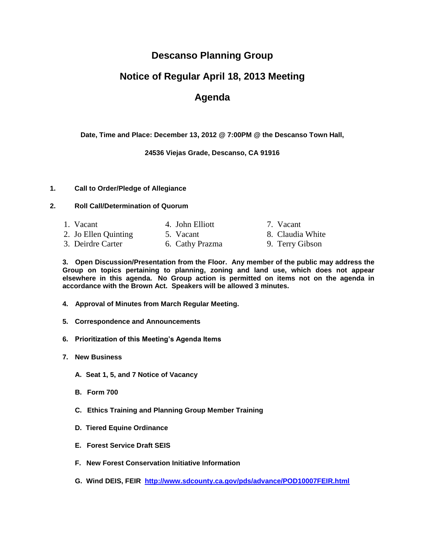### **Descanso Planning Group**

# **Notice of Regular April 18, 2013 Meeting**

## **Agenda**

**Date, Time and Place: December 13, 2012 @ 7:00PM @ the Descanso Town Hall,**

**24536 Viejas Grade, Descanso, CA 91916**

#### **1. Call to Order/Pledge of Allegiance**

### **2. Roll Call/Determination of Quorum**

1. Vacant 4. John Elliott 7. Vacant 2. Jo Ellen Quinting 5. Vacant 8. Claudia White 3. Deirdre Carter 6. Cathy Prazma 9. Terry Gibson

**3. Open Discussion/Presentation from the Floor. Any member of the public may address the Group on topics pertaining to planning, zoning and land use, which does not appear elsewhere in this agenda. No Group action is permitted on items not on the agenda in accordance with the Brown Act. Speakers will be allowed 3 minutes.**

- **4. Approval of Minutes from March Regular Meeting.**
- **5. Correspondence and Announcements**
- **6. Prioritization of this Meeting's Agenda Items**
- **7. New Business** 
	- **A. Seat 1, 5, and 7 Notice of Vacancy**
	- **B. Form 700**
	- **C. Ethics Training and Planning Group Member Training**
	- **D. Tiered Equine Ordinance**
	- **E. Forest Service Draft SEIS**
	- **F. New Forest Conservation Initiative Information**
	- **G. Wind DEIS, FEIR <http://www.sdcounty.ca.gov/pds/advance/POD10007FEIR.html>**